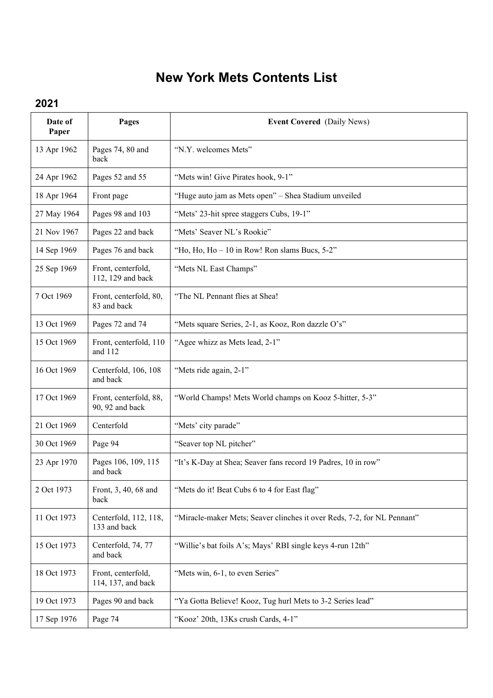## **New York Mets Contents List**

## **2021**

| Date of<br>Paper | Pages                                     | <b>Event Covered</b> (Daily News)                                       |
|------------------|-------------------------------------------|-------------------------------------------------------------------------|
| 13 Apr 1962      | Pages 74, 80 and<br>back                  | "N.Y. welcomes Mets"                                                    |
| 24 Apr 1962      | Pages 52 and 55                           | "Mets win! Give Pirates hook, 9-1"                                      |
| 18 Apr 1964      | Front page                                | "Huge auto jam as Mets open" - Shea Stadium unveiled                    |
| 27 May 1964      | Pages 98 and 103                          | "Mets' 23-hit spree staggers Cubs, 19-1"                                |
| 21 Nov 1967      | Pages 22 and back                         | "Mets' Seaver NL's Rookie"                                              |
| 14 Sep 1969      | Pages 76 and back                         | "Ho, Ho, Ho - 10 in Row! Ron slams Bucs, 5-2"                           |
| 25 Sep 1969      | Front, centerfold,<br>112, 129 and back   | "Mets NL East Champs"                                                   |
| 7 Oct 1969       | Front, centerfold, 80,<br>83 and back     | "The NL Pennant flies at Shea!                                          |
| 13 Oct 1969      | Pages 72 and 74                           | "Mets square Series, 2-1, as Kooz, Ron dazzle O's"                      |
| 15 Oct 1969      | Front, centerfold, 110<br>and 112         | "Agee whizz as Mets lead, 2-1"                                          |
| 16 Oct 1969      | Centerfold, 106, 108<br>and back          | "Mets ride again, 2-1"                                                  |
| 17 Oct 1969      | Front, centerfold, 88,<br>90, 92 and back | "World Champs! Mets World champs on Kooz 5-hitter, 5-3"                 |
| 21 Oct 1969      | Centerfold                                | "Mets' city parade"                                                     |
| 30 Oct 1969      | Page 94                                   | "Seaver top NL pitcher"                                                 |
| 23 Apr 1970      | Pages 106, 109, 115<br>and back           | "It's K-Day at Shea; Seaver fans record 19 Padres, 10 in row"           |
| 2 Oct 1973       | Front, 3, 40, 68 and<br>back              | "Mets do it! Beat Cubs 6 to 4 for East flag"                            |
| 11 Oct 1973      | Centerfold, 112, 118,<br>133 and back     | "Miracle-maker Mets; Seaver clinches it over Reds, 7-2, for NL Pennant" |
| 15 Oct 1973      | Centerfold, 74, 77<br>and back            | "Willie's bat foils A's; Mays' RBI single keys 4-run 12th"              |
| 18 Oct 1973      | Front, centerfold,<br>114, 137, and back  | "Mets win, 6-1, to even Series"                                         |
| 19 Oct 1973      | Pages 90 and back                         | "Ya Gotta Believe! Kooz, Tug hurl Mets to 3-2 Series lead"              |
| 17 Sep 1976      | Page 74                                   | "Kooz' 20th, 13Ks crush Cards, 4-1"                                     |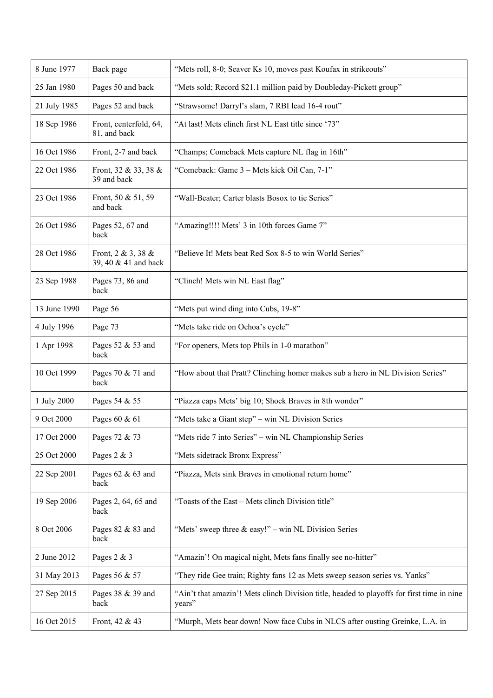| 8 June 1977  | Back page                                  | "Mets roll, 8-0; Seaver Ks 10, moves past Koufax in strikeouts"                                      |
|--------------|--------------------------------------------|------------------------------------------------------------------------------------------------------|
| 25 Jan 1980  | Pages 50 and back                          | "Mets sold; Record \$21.1 million paid by Doubleday-Pickett group"                                   |
| 21 July 1985 | Pages 52 and back                          | "Strawsome! Darryl's slam, 7 RBI lead 16-4 rout"                                                     |
| 18 Sep 1986  | Front, centerfold, 64,<br>81, and back     | "At last! Mets clinch first NL East title since '73"                                                 |
| 16 Oct 1986  | Front, 2-7 and back                        | "Champs; Comeback Mets capture NL flag in 16th"                                                      |
| 22 Oct 1986  | Front, 32 & 33, 38 &<br>39 and back        | "Comeback: Game 3 - Mets kick Oil Can, 7-1"                                                          |
| 23 Oct 1986  | Front, 50 & 51, 59<br>and back             | "Wall-Beater; Carter blasts Bosox to tie Series"                                                     |
| 26 Oct 1986  | Pages 52, 67 and<br>back                   | "Amazing!!!! Mets' 3 in 10th forces Game 7"                                                          |
| 28 Oct 1986  | Front, 2 & 3, 38 &<br>39, 40 & 41 and back | "Believe It! Mets beat Red Sox 8-5 to win World Series"                                              |
| 23 Sep 1988  | Pages 73, 86 and<br>back                   | "Clinch! Mets win NL East flag"                                                                      |
| 13 June 1990 | Page 56                                    | "Mets put wind ding into Cubs, 19-8"                                                                 |
| 4 July 1996  | Page 73                                    | "Mets take ride on Ochoa's cycle"                                                                    |
| 1 Apr 1998   | Pages 52 & 53 and<br>back                  | "For openers, Mets top Phils in 1-0 marathon"                                                        |
| 10 Oct 1999  | Pages 70 & 71 and<br>back                  | "How about that Pratt? Clinching homer makes sub a hero in NL Division Series"                       |
| 1 July 2000  | Pages 54 & 55                              | "Piazza caps Mets' big 10; Shock Braves in 8th wonder"                                               |
| 9 Oct 2000   | Pages 60 & 61                              | "Mets take a Giant step" – win NL Division Series                                                    |
| 17 Oct 2000  | Pages 72 & 73                              | "Mets ride 7 into Series" - win NL Championship Series                                               |
| 25 Oct 2000  | Pages 2 & 3                                | "Mets sidetrack Bronx Express"                                                                       |
| 22 Sep 2001  | Pages 62 & 63 and<br>back                  | "Piazza, Mets sink Braves in emotional return home"                                                  |
| 19 Sep 2006  | Pages 2, 64, 65 and<br>back                | "Toasts of the East - Mets clinch Division title"                                                    |
| 8 Oct 2006   | Pages 82 & 83 and<br>back                  | "Mets' sweep three $\&$ easy!" – win NL Division Series                                              |
| 2 June 2012  | Pages 2 & 3                                | "Amazin'! On magical night, Mets fans finally see no-hitter"                                         |
| 31 May 2013  | Pages 56 & 57                              | "They ride Gee train; Righty fans 12 as Mets sweep season series vs. Yanks"                          |
| 27 Sep 2015  | Pages 38 & 39 and<br>back                  | "Ain't that amazin'! Mets clinch Division title, headed to playoffs for first time in nine<br>years" |
| 16 Oct 2015  | Front, 42 & 43                             | "Murph, Mets bear down! Now face Cubs in NLCS after ousting Greinke, L.A. in                         |